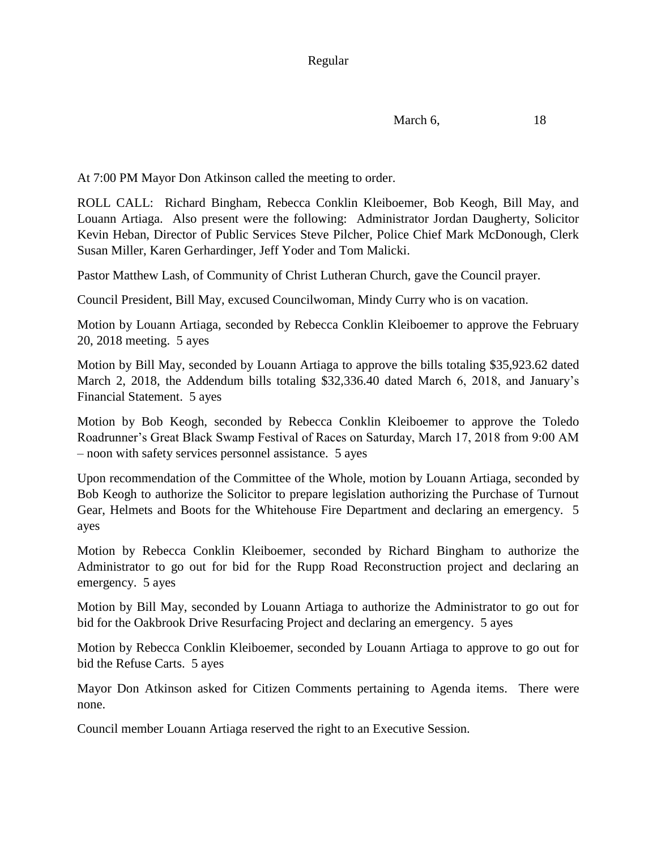```
March 6, 18
```
At 7:00 PM Mayor Don Atkinson called the meeting to order.

ROLL CALL: Richard Bingham, Rebecca Conklin Kleiboemer, Bob Keogh, Bill May, and Louann Artiaga. Also present were the following: Administrator Jordan Daugherty, Solicitor Kevin Heban, Director of Public Services Steve Pilcher, Police Chief Mark McDonough, Clerk Susan Miller, Karen Gerhardinger, Jeff Yoder and Tom Malicki.

Pastor Matthew Lash, of Community of Christ Lutheran Church, gave the Council prayer.

Council President, Bill May, excused Councilwoman, Mindy Curry who is on vacation.

Motion by Louann Artiaga, seconded by Rebecca Conklin Kleiboemer to approve the February 20, 2018 meeting. 5 ayes

Motion by Bill May, seconded by Louann Artiaga to approve the bills totaling \$35,923.62 dated March 2, 2018, the Addendum bills totaling \$32,336.40 dated March 6, 2018, and January's Financial Statement. 5 ayes

Motion by Bob Keogh, seconded by Rebecca Conklin Kleiboemer to approve the Toledo Roadrunner's Great Black Swamp Festival of Races on Saturday, March 17, 2018 from 9:00 AM – noon with safety services personnel assistance. 5 ayes

Upon recommendation of the Committee of the Whole, motion by Louann Artiaga, seconded by Bob Keogh to authorize the Solicitor to prepare legislation authorizing the Purchase of Turnout Gear, Helmets and Boots for the Whitehouse Fire Department and declaring an emergency. 5 ayes

Motion by Rebecca Conklin Kleiboemer, seconded by Richard Bingham to authorize the Administrator to go out for bid for the Rupp Road Reconstruction project and declaring an emergency. 5 ayes

Motion by Bill May, seconded by Louann Artiaga to authorize the Administrator to go out for bid for the Oakbrook Drive Resurfacing Project and declaring an emergency. 5 ayes

Motion by Rebecca Conklin Kleiboemer, seconded by Louann Artiaga to approve to go out for bid the Refuse Carts. 5 ayes

Mayor Don Atkinson asked for Citizen Comments pertaining to Agenda items. There were none.

Council member Louann Artiaga reserved the right to an Executive Session.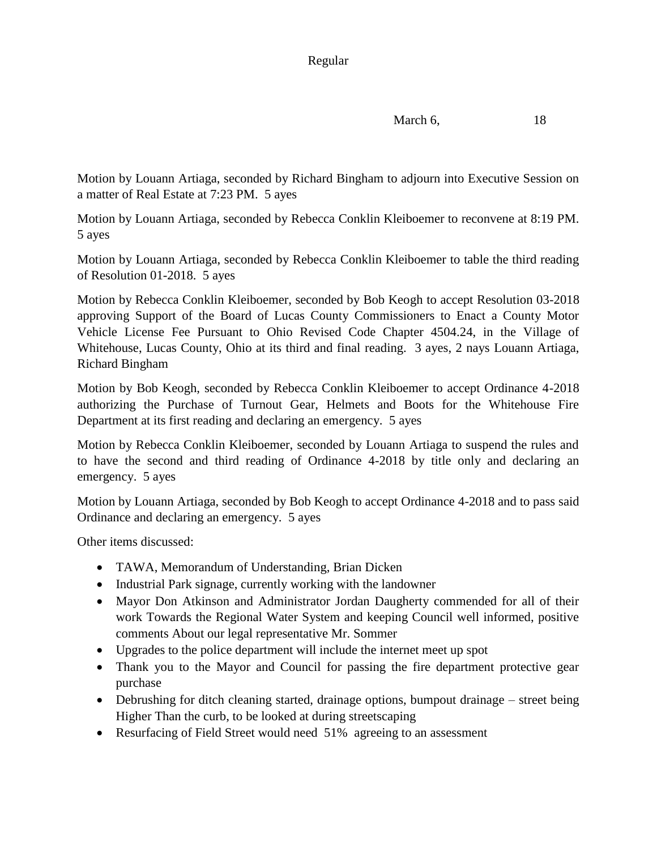## Regular

March 6, 18

Motion by Louann Artiaga, seconded by Richard Bingham to adjourn into Executive Session on a matter of Real Estate at 7:23 PM. 5 ayes

Motion by Louann Artiaga, seconded by Rebecca Conklin Kleiboemer to reconvene at 8:19 PM. 5 ayes

Motion by Louann Artiaga, seconded by Rebecca Conklin Kleiboemer to table the third reading of Resolution 01-2018. 5 ayes

Motion by Rebecca Conklin Kleiboemer, seconded by Bob Keogh to accept Resolution 03-2018 approving Support of the Board of Lucas County Commissioners to Enact a County Motor Vehicle License Fee Pursuant to Ohio Revised Code Chapter 4504.24, in the Village of Whitehouse, Lucas County, Ohio at its third and final reading. 3 ayes, 2 nays Louann Artiaga, Richard Bingham

Motion by Bob Keogh, seconded by Rebecca Conklin Kleiboemer to accept Ordinance 4-2018 authorizing the Purchase of Turnout Gear, Helmets and Boots for the Whitehouse Fire Department at its first reading and declaring an emergency. 5 ayes

Motion by Rebecca Conklin Kleiboemer, seconded by Louann Artiaga to suspend the rules and to have the second and third reading of Ordinance 4-2018 by title only and declaring an emergency. 5 ayes

Motion by Louann Artiaga, seconded by Bob Keogh to accept Ordinance 4-2018 and to pass said Ordinance and declaring an emergency. 5 ayes

Other items discussed:

- TAWA, Memorandum of Understanding, Brian Dicken
- Industrial Park signage, currently working with the landowner
- Mayor Don Atkinson and Administrator Jordan Daugherty commended for all of their work Towards the Regional Water System and keeping Council well informed, positive comments About our legal representative Mr. Sommer
- Upgrades to the police department will include the internet meet up spot
- Thank you to the Mayor and Council for passing the fire department protective gear purchase
- Debrushing for ditch cleaning started, drainage options, bumpout drainage street being Higher Than the curb, to be looked at during streetscaping
- Resurfacing of Field Street would need 51% agreeing to an assessment